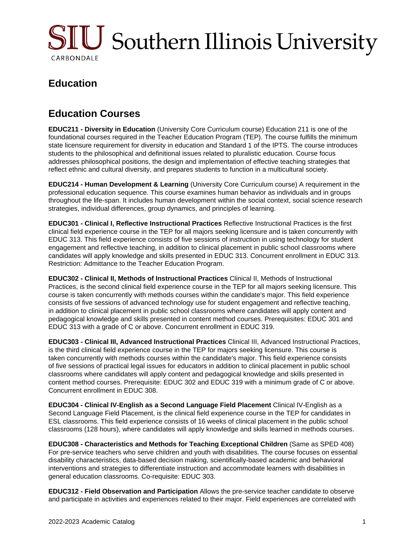

## **Education**

## **Education Courses**

**EDUC211 - Diversity in Education** (University Core Curriculum course) Education 211 is one of the foundational courses required in the Teacher Education Program (TEP). The course fulfills the minimum state licensure requirement for diversity in education and Standard 1 of the IPTS. The course introduces students to the philosophical and definitional issues related to pluralistic education. Course focus addresses philosophical positions, the design and implementation of effective teaching strategies that reflect ethnic and cultural diversity, and prepares students to function in a multicultural society.

**EDUC214 - Human Development & Learning** (University Core Curriculum course) A requirement in the professional education sequence. This course examines human behavior as individuals and in groups throughout the life-span. It includes human development within the social context, social science research strategies, individual differences, group dynamics, and principles of learning.

**EDUC301 - Clinical I, Reflective Instructional Practices** Reflective Instructional Practices is the first clinical field experience course in the TEP for all majors seeking licensure and is taken concurrently with EDUC 313. This field experience consists of five sessions of instruction in using technology for student engagement and reflective teaching, in addition to clinical placement in public school classrooms where candidates will apply knowledge and skills presented in EDUC 313. Concurrent enrollment in EDUC 313. Restriction: Admittance to the Teacher Education Program.

**EDUC302 - Clinical II, Methods of Instructional Practices** Clinical II, Methods of Instructional Practices, is the second clinical field experience course in the TEP for all majors seeking licensure. This course is taken concurrently with methods courses within the candidate's major. This field experience consists of five sessions of advanced technology use for student engagement and reflective teaching, in addition to clinical placement in public school classrooms where candidates will apply content and pedagogical knowledge and skills presented in content method courses. Prerequisites: EDUC 301 and EDUC 313 with a grade of C or above. Concurrent enrollment in EDUC 319.

**EDUC303 - Clinical III, Advanced Instructional Practices** Clinical III, Advanced Instructional Practices, is the third clinical field experience course in the TEP for majors seeking licensure. This course is taken concurrently with methods courses within the candidate's major. This field experience consists of five sessions of practical legal issues for educators in addition to clinical placement in public school classrooms where candidates will apply content and pedagogical knowledge and skills presented in content method courses. Prerequisite: EDUC 302 and EDUC 319 with a minimum grade of C or above. Concurrent enrollment in EDUC 308.

**EDUC304 - Clinical IV-English as a Second Language Field Placement** Clinical IV-English as a Second Language Field Placement, is the clinical field experience course in the TEP for candidates in ESL classrooms. This field experience consists of 16 weeks of clinical placement in the public school classrooms (128 hours), where candidates will apply knowledge and skills learned in methods courses.

**EDUC308 - Characteristics and Methods for Teaching Exceptional Children** (Same as SPED 408) For pre-service teachers who serve children and youth with disabilities. The course focuses on essential disability characteristics, data-based decision making, scientifically-based academic and behavioral interventions and strategies to differentiate instruction and accommodate learners with disabilities in general education classrooms. Co-requisite: EDUC 303.

**EDUC312 - Field Observation and Participation** Allows the pre-service teacher candidate to observe and participate in activities and experiences related to their major. Field experiences are correlated with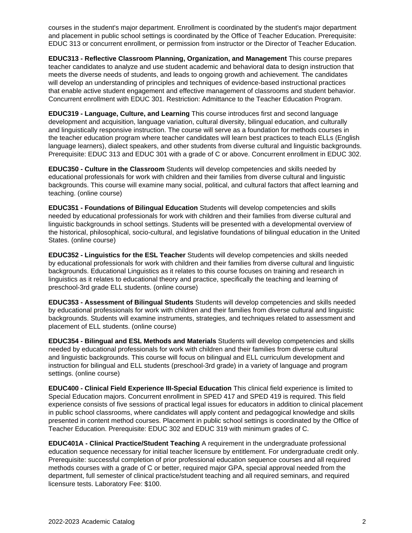courses in the student's major department. Enrollment is coordinated by the student's major department and placement in public school settings is coordinated by the Office of Teacher Education. Prerequisite: EDUC 313 or concurrent enrollment, or permission from instructor or the Director of Teacher Education.

**EDUC313 - Reflective Classroom Planning, Organization, and Management** This course prepares teacher candidates to analyze and use student academic and behavioral data to design instruction that meets the diverse needs of students, and leads to ongoing growth and achievement. The candidates will develop an understanding of principles and techniques of evidence-based instructional practices that enable active student engagement and effective management of classrooms and student behavior. Concurrent enrollment with EDUC 301. Restriction: Admittance to the Teacher Education Program.

**EDUC319 - Language, Culture, and Learning** This course introduces first and second language development and acquisition, language variation, cultural diversity, bilingual education, and culturally and linguistically responsive instruction. The course will serve as a foundation for methods courses in the teacher education program where teacher candidates will learn best practices to teach ELLs (English language learners), dialect speakers, and other students from diverse cultural and linguistic backgrounds. Prerequisite: EDUC 313 and EDUC 301 with a grade of C or above. Concurrent enrollment in EDUC 302.

**EDUC350 - Culture in the Classroom** Students will develop competencies and skills needed by educational professionals for work with children and their families from diverse cultural and linguistic backgrounds. This course will examine many social, political, and cultural factors that affect learning and teaching. (online course)

**EDUC351 - Foundations of Bilingual Education** Students will develop competencies and skills needed by educational professionals for work with children and their families from diverse cultural and linguistic backgrounds in school settings. Students will be presented with a developmental overview of the historical, philosophical, socio-cultural, and legislative foundations of bilingual education in the United States. (online course)

**EDUC352 - Linguistics for the ESL Teacher** Students will develop competencies and skills needed by educational professionals for work with children and their families from diverse cultural and linguistic backgrounds. Educational Linguistics as it relates to this course focuses on training and research in linguistics as it relates to educational theory and practice, specifically the teaching and learning of preschool-3rd grade ELL students. (online course)

**EDUC353 - Assessment of Bilingual Students** Students will develop competencies and skills needed by educational professionals for work with children and their families from diverse cultural and linguistic backgrounds. Students will examine instruments, strategies, and techniques related to assessment and placement of ELL students. (online course)

**EDUC354 - Bilingual and ESL Methods and Materials** Students will develop competencies and skills needed by educational professionals for work with children and their families from diverse cultural and linguistic backgrounds. This course will focus on bilingual and ELL curriculum development and instruction for bilingual and ELL students (preschool-3rd grade) in a variety of language and program settings. (online course)

**EDUC400 - Clinical Field Experience III-Special Education** This clinical field experience is limited to Special Education majors. Concurrent enrollment in SPED 417 and SPED 419 is required. This field experience consists of five sessions of practical legal issues for educators in addition to clinical placement in public school classrooms, where candidates will apply content and pedagogical knowledge and skills presented in content method courses. Placement in public school settings is coordinated by the Office of Teacher Education. Prerequisite: EDUC 302 and EDUC 319 with minimum grades of C.

**EDUC401A - Clinical Practice/Student Teaching** A requirement in the undergraduate professional education sequence necessary for initial teacher licensure by entitlement. For undergraduate credit only. Prerequisite: successful completion of prior professional education sequence courses and all required methods courses with a grade of C or better, required major GPA, special approval needed from the department, full semester of clinical practice/student teaching and all required seminars, and required licensure tests. Laboratory Fee: \$100.